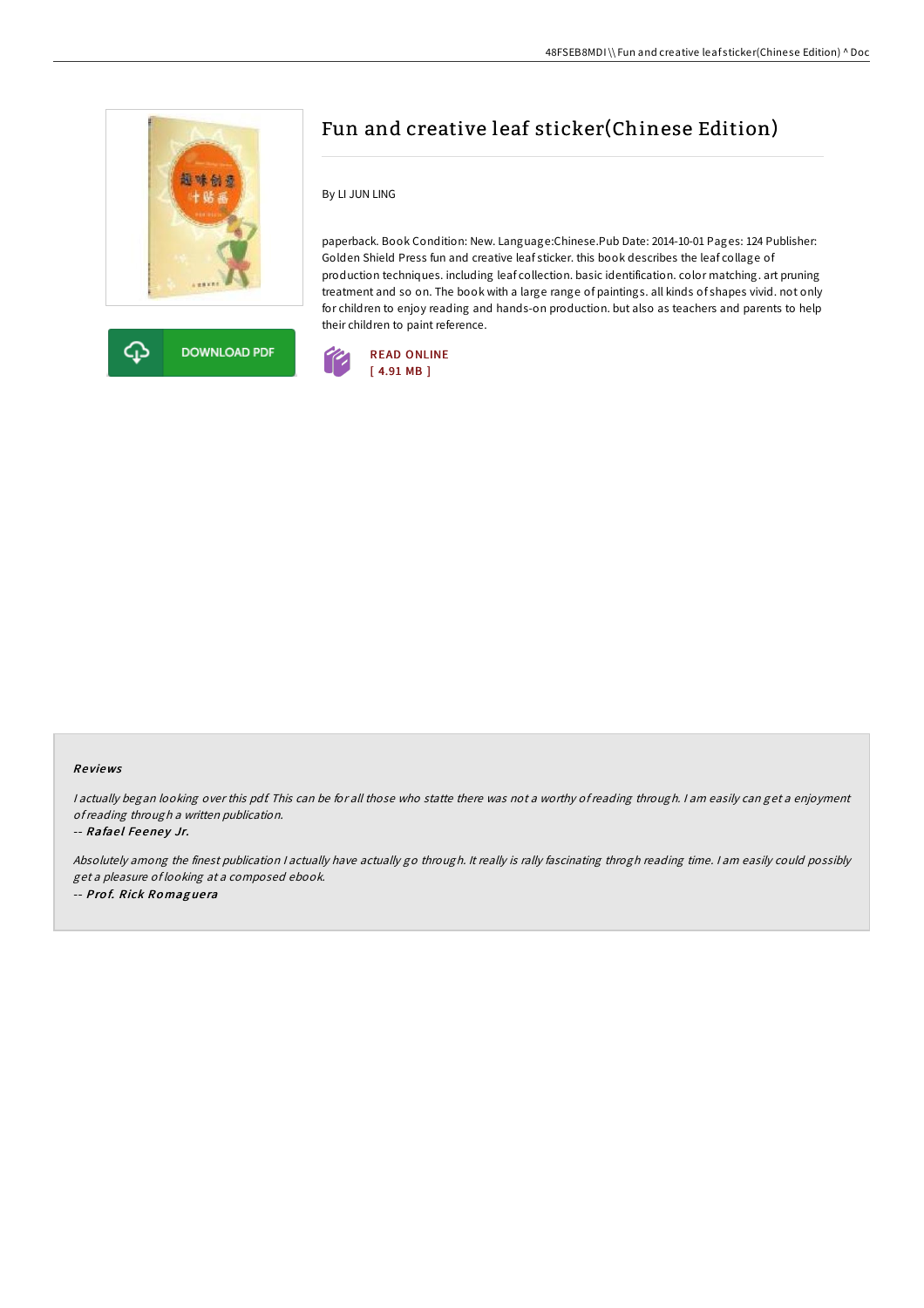



## Fun and creative leaf sticker(Chinese Edition)

By LI JUN LING

paperback. Book Condition: New. Language:Chinese.Pub Date: 2014-10-01 Pages: 124 Publisher: Golden Shield Press fun and creative leaf sticker. this book describes the leaf collage of production techniques. including leaf collection. basic identification. color matching. art pruning treatment and so on. The book with a large range of paintings. all kinds of shapes vivid. not only for children to enjoy reading and hands-on production. but also as teachers and parents to help their children to paint reference.



## Re views

<sup>I</sup> actually began looking over this pdf. This can be for all those who statte there was not <sup>a</sup> worthy of reading through. <sup>I</sup> am easily can get <sup>a</sup> enjoyment ofreading through <sup>a</sup> written publication.

## -- Rafael Feeney Jr.

Absolutely among the finest publication <sup>I</sup> actually have actually go through. It really is rally fascinating throgh reading time. <sup>I</sup> am easily could possibly get <sup>a</sup> pleasure of looking at <sup>a</sup> composed ebook. -- Pro f. Rick Ro mag ue ra